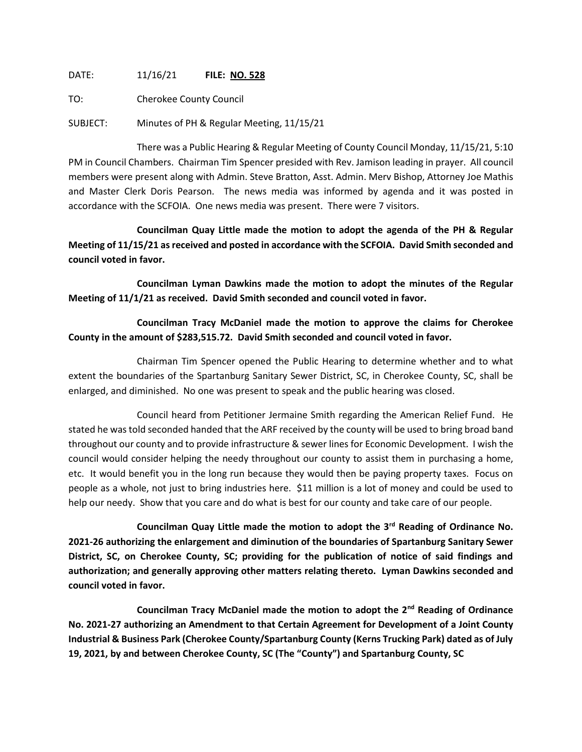DATE: 11/16/21 **FILE: NO. 528**

TO: Cherokee County Council

SUBJECT: Minutes of PH & Regular Meeting, 11/15/21

There was a Public Hearing & Regular Meeting of County Council Monday, 11/15/21, 5:10 PM in Council Chambers. Chairman Tim Spencer presided with Rev. Jamison leading in prayer. All council members were present along with Admin. Steve Bratton, Asst. Admin. Merv Bishop, Attorney Joe Mathis and Master Clerk Doris Pearson. The news media was informed by agenda and it was posted in accordance with the SCFOIA. One news media was present. There were 7 visitors.

**Councilman Quay Little made the motion to adopt the agenda of the PH & Regular Meeting of 11/15/21 as received and posted in accordance with the SCFOIA. David Smith seconded and council voted in favor.**

**Councilman Lyman Dawkins made the motion to adopt the minutes of the Regular Meeting of 11/1/21 as received. David Smith seconded and council voted in favor.**

**Councilman Tracy McDaniel made the motion to approve the claims for Cherokee County in the amount of \$283,515.72. David Smith seconded and council voted in favor.**

Chairman Tim Spencer opened the Public Hearing to determine whether and to what extent the boundaries of the Spartanburg Sanitary Sewer District, SC, in Cherokee County, SC, shall be enlarged, and diminished. No one was present to speak and the public hearing was closed.

Council heard from Petitioner Jermaine Smith regarding the American Relief Fund. He stated he was told seconded handed that the ARF received by the county will be used to bring broad band throughout our county and to provide infrastructure & sewer lines for Economic Development. I wish the council would consider helping the needy throughout our county to assist them in purchasing a home, etc. It would benefit you in the long run because they would then be paying property taxes. Focus on people as a whole, not just to bring industries here. \$11 million is a lot of money and could be used to help our needy. Show that you care and do what is best for our county and take care of our people.

**Councilman Quay Little made the motion to adopt the 3rd Reading of Ordinance No. 2021-26 authorizing the enlargement and diminution of the boundaries of Spartanburg Sanitary Sewer District, SC, on Cherokee County, SC; providing for the publication of notice of said findings and authorization; and generally approving other matters relating thereto. Lyman Dawkins seconded and council voted in favor.**

**Councilman Tracy McDaniel made the motion to adopt the 2nd Reading of Ordinance No. 2021-27 authorizing an Amendment to that Certain Agreement for Development of a Joint County Industrial & Business Park (Cherokee County/Spartanburg County (Kerns Trucking Park) dated as of July 19, 2021, by and between Cherokee County, SC (The "County") and Spartanburg County, SC**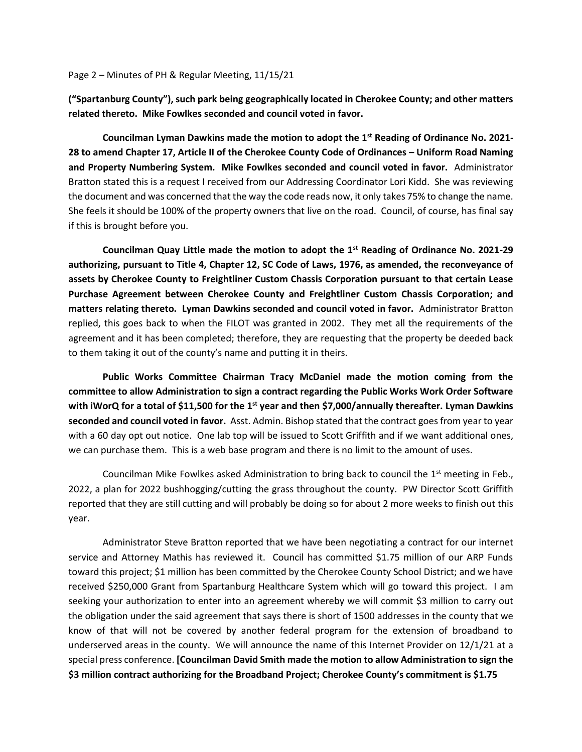Page 2 – Minutes of PH & Regular Meeting, 11/15/21

**("Spartanburg County"), such park being geographically located in Cherokee County; and other matters related thereto. Mike Fowlkes seconded and council voted in favor.** 

**Councilman Lyman Dawkins made the motion to adopt the 1st Reading of Ordinance No. 2021- 28 to amend Chapter 17, Article II of the Cherokee County Code of Ordinances – Uniform Road Naming and Property Numbering System. Mike Fowlkes seconded and council voted in favor.** Administrator Bratton stated this is a request I received from our Addressing Coordinator Lori Kidd. She was reviewing the document and was concerned that the way the code reads now, it only takes 75% to change the name. She feels it should be 100% of the property owners that live on the road. Council, of course, has final say if this is brought before you.

**Councilman Quay Little made the motion to adopt the 1st Reading of Ordinance No. 2021-29 authorizing, pursuant to Title 4, Chapter 12, SC Code of Laws, 1976, as amended, the reconveyance of assets by Cherokee County to Freightliner Custom Chassis Corporation pursuant to that certain Lease Purchase Agreement between Cherokee County and Freightliner Custom Chassis Corporation; and matters relating thereto. Lyman Dawkins seconded and council voted in favor.** Administrator Bratton replied, this goes back to when the FILOT was granted in 2002. They met all the requirements of the agreement and it has been completed; therefore, they are requesting that the property be deeded back to them taking it out of the county's name and putting it in theirs.

**Public Works Committee Chairman Tracy McDaniel made the motion coming from the committee to allow Administration to sign a contract regarding the Public Works Work Order Software with iWorQ for a total of \$11,500 for the 1st year and then \$7,000/annually thereafter. Lyman Dawkins seconded and council voted in favor.** Asst. Admin. Bishop stated that the contract goes from year to year with a 60 day opt out notice. One lab top will be issued to Scott Griffith and if we want additional ones, we can purchase them. This is a web base program and there is no limit to the amount of uses.

Councilman Mike Fowlkes asked Administration to bring back to council the  $1<sup>st</sup>$  meeting in Feb., 2022, a plan for 2022 bushhogging/cutting the grass throughout the county. PW Director Scott Griffith reported that they are still cutting and will probably be doing so for about 2 more weeks to finish out this year.

Administrator Steve Bratton reported that we have been negotiating a contract for our internet service and Attorney Mathis has reviewed it. Council has committed \$1.75 million of our ARP Funds toward this project; \$1 million has been committed by the Cherokee County School District; and we have received \$250,000 Grant from Spartanburg Healthcare System which will go toward this project. I am seeking your authorization to enter into an agreement whereby we will commit \$3 million to carry out the obligation under the said agreement that says there is short of 1500 addresses in the county that we know of that will not be covered by another federal program for the extension of broadband to underserved areas in the county. We will announce the name of this Internet Provider on 12/1/21 at a special press conference. **[Councilman David Smith made the motion to allow Administration to sign the \$3 million contract authorizing for the Broadband Project; Cherokee County's commitment is \$1.75**